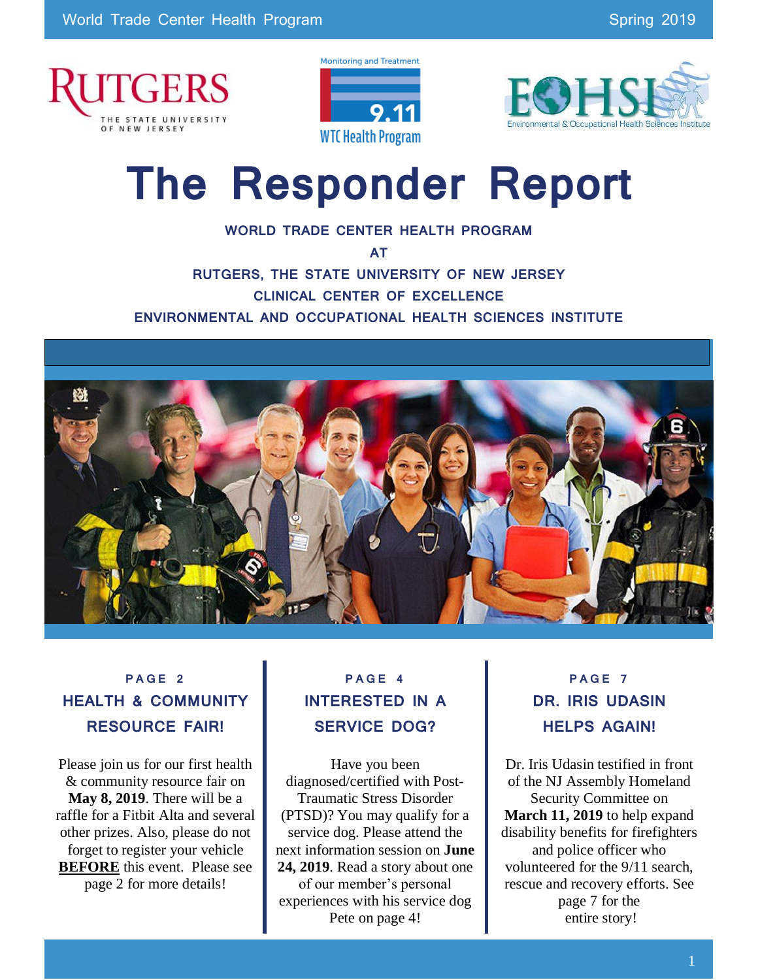





# **The Responder Report**

**WORLD TRADE CENTER HEALTH PROGRAM** 

**AT**

**RUTGERS, THE STATE UNIVERSITY OF NEW JERSEY CLINICAL CENTER OF EXCELLENCE ENVIRONMENTAL AND OCCUPATIONAL HEALTH SCIENCES INSTITUTE**



### **P A G E 2 HEALTH & COMMUNITY RESOURCE FAIR!**

Please join us for our first health & community resource fair on **May 8, 2019**. There will be a raffle for a Fitbit Alta and several other prizes. Also, please do not forget to register your vehicle **BEFORE** this event. Please see page 2 for more details!

### **P A G E 4 INTERESTED IN A SERVICE DOG?**

Have you been diagnosed/certified with Post-Traumatic Stress Disorder (PTSD)? You may qualify for a service dog. Please attend the next information session on **June 24, 2019**. Read a story about one of our member's personal experiences with his service dog Pete on page 4!

### **P A G E 7 DR. IRIS UDASIN HELPS AGAIN!**

Dr. Iris Udasin testified in front of the NJ Assembly Homeland Security Committee on **March 11, 2019** to help expand disability benefits for firefighters and police officer who volunteered for the 9/11 search, rescue and recovery efforts. See page 7 for the entire story!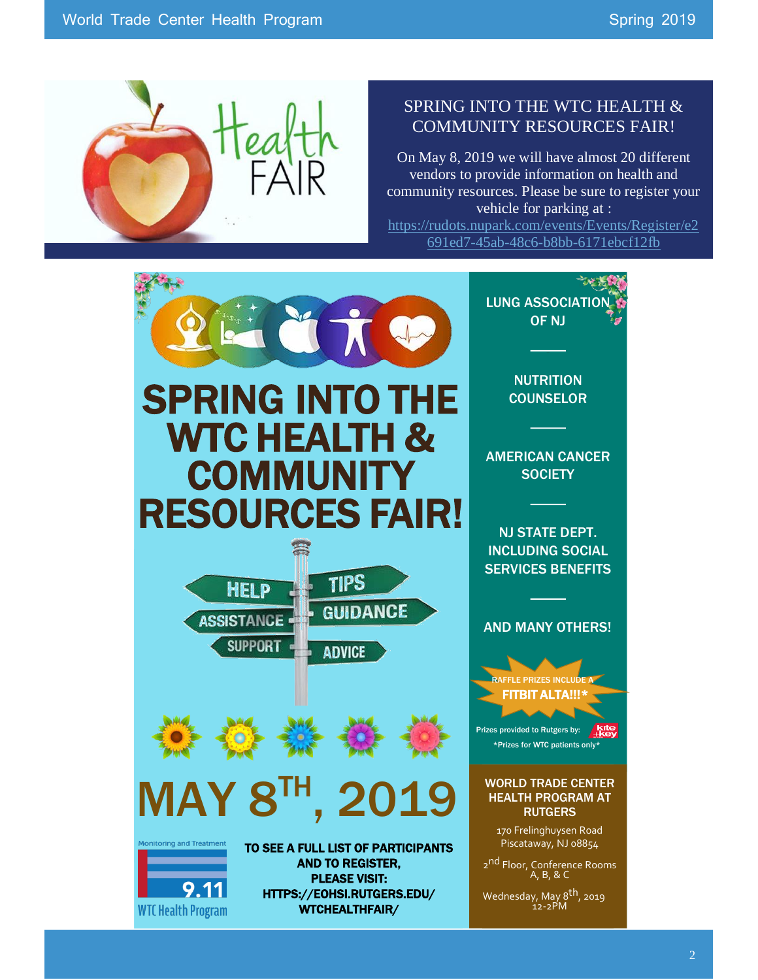

#### SPRING INTO THE WTC HEALTH & COMMUNITY RESOURCES FAIR!

On May 8, 2019 we will have almost 20 different vendors to provide information on health and community resources. Please be sure to register your vehicle for parking at :

[https://rudots.nupark.com/events/Events/Register/e2](https://rudots.nupark.com/events/Events/Register/e2691ed7-45ab-48c6-b8bb-6171ebcf12fb) [691ed7-45ab-48c6-b8bb-6171ebcf12fb](https://rudots.nupark.com/events/Events/Register/e2691ed7-45ab-48c6-b8bb-6171ebcf12fb)

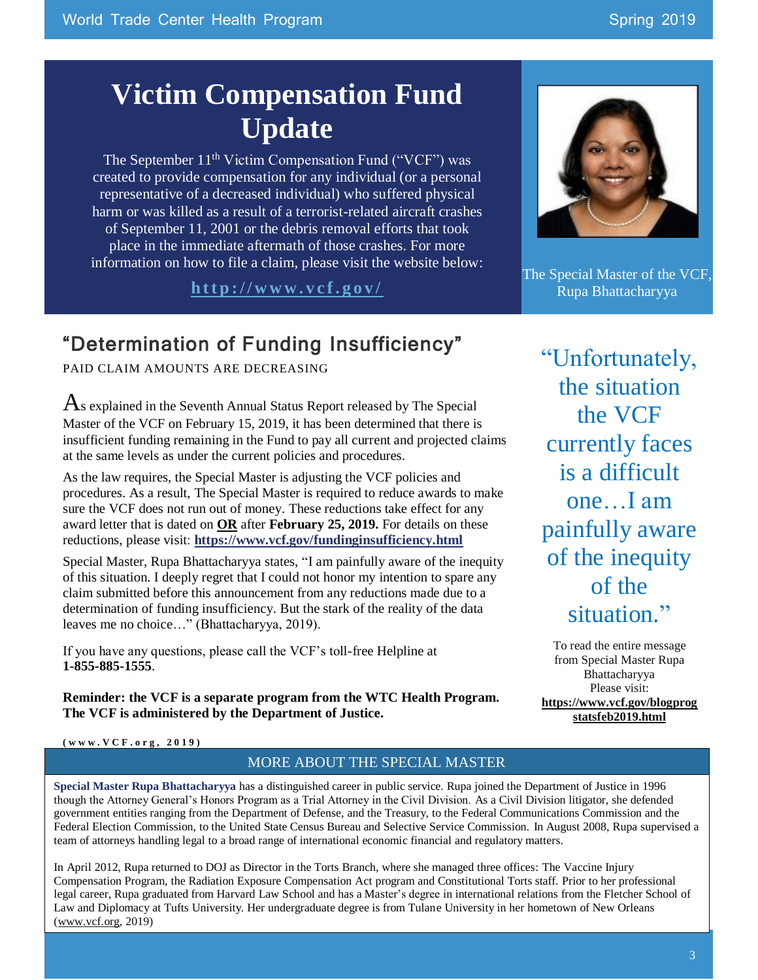## **Victim Compensation Fund Update**

The September 11<sup>th</sup> Victim Compensation Fund ("VCF") was created to provide compensation for any individual (or a personal representative of a decreased individual) who suffered physical harm or was killed as a result of a terrorist-related aircraft crashes of September 11, 2001 or the debris removal efforts that took place in the immediate aftermath of those crashes. For more information on how to file a claim, please visit the website below:

**h t t p : / / w w w . v c f . g o v /**

### "Determination of Funding Insufficiency"

PAID CLAIM AMOUNTS ARE DECREASING

 $\overline{A}$ s explained in the Seventh Annual Status Report released by The Special Master of the VCF on February 15, 2019, it has been determined that there is insufficient funding remaining in the Fund to pay all current and projected claims at the same levels as under the current policies and procedures.

As the law requires, the Special Master is adjusting the VCF policies and procedures. As a result, The Special Master is required to reduce awards to make sure the VCF does not run out of money. These reductions take effect for any award letter that is dated on **OR** after **February 25, 2019.** For details on these reductions, please visit: **<https://www.vcf.gov/fundinginsufficiency.html>**

Special Master, Rupa Bhattacharyya states, "I am painfully aware of the inequity of this situation. I deeply regret that I could not honor my intention to spare any claim submitted before this announcement from any reductions made due to a determination of funding insufficiency. But the stark of the reality of the data leaves me no choice…" (Bhattacharyya, 2019).

If you have any questions, please call the VCF's toll-free Helpline at **1-855-885-1555**.

**Reminder: the VCF is a separate program from the WTC Health Program. The VCF is administered by the Department of Justice.**



The Special Master of the VCF, Rupa Bhattacharyya

"Unfortunately, the situation the VCF currently faces is a difficult one…I am painfully aware of the inequity of the situation."

To read the entire message from Special Master Rupa Bhattacharyya Please visit: **[https://www.vcf.gov/blogprog](https://www.vcf.gov/blogprogstatsfeb2019.html) [statsfeb2019.html](https://www.vcf.gov/blogprogstatsfeb2019.html)**

**( www. VCF . o r g , 2019)**

#### MORE ABOUT THE SPECIAL MASTER

**Special Master Rupa Bhattacharyya** has a distinguished career in public service. Rupa joined the Department of Justice in 1996 though the Attorney General's Honors Program as a Trial Attorney in the Civil Division. As a Civil Division litigator, she defended government entities ranging from the Department of Defense, and the Treasury, to the Federal Communications Commission and the Federal Election Commission, to the United State Census Bureau and Selective Service Commission. In August 2008, Rupa supervised a team of attorneys handling legal to a broad range of international economic financial and regulatory matters.

In April 2012, Rupa returned to DOJ as Director in the Torts Branch, where she managed three offices: The Vaccine Injury Compensation Program, the Radiation Exposure Compensation Act program and Constitutional Torts staff. Prior to her professional legal career, Rupa graduated from Harvard Law School and has a Master's degree in international relations from the Fletcher School of Law and Diplomacy at Tufts University. Her undergraduate degree is from Tulane University in her hometown of New Orleans [\(www.vcf.org,](http://www.vcf.org/) 2019)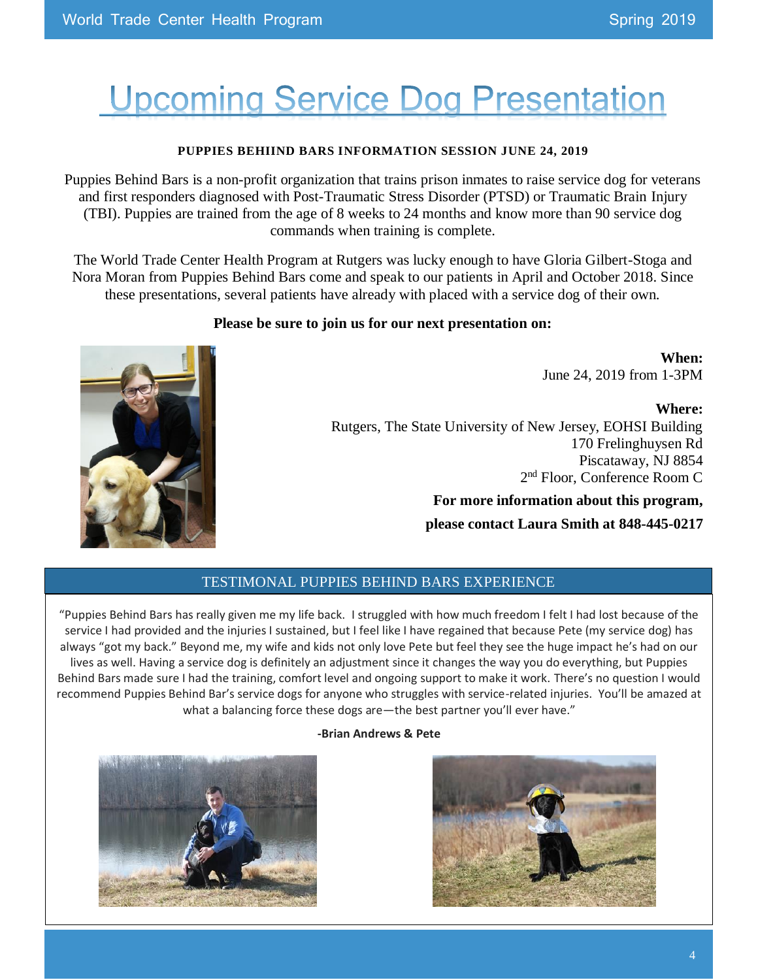## Upcoming Service Dog Presentation

#### **PUPPIES BEHIIND BARS INFORMATION SESSION JUNE 24, 2019**

Puppies Behind Bars is a non-profit organization that trains prison inmates to raise service dog for veterans and first responders diagnosed with Post-Traumatic Stress Disorder (PTSD) or Traumatic Brain Injury (TBI). Puppies are trained from the age of 8 weeks to 24 months and know more than 90 service dog commands when training is complete.

The World Trade Center Health Program at Rutgers was lucky enough to have Gloria Gilbert-Stoga and Nora Moran from Puppies Behind Bars come and speak to our patients in April and October 2018. Since these presentations, several patients have already with placed with a service dog of their own.

#### **Please be sure to join us for our next presentation on:**

**When:**  June 24, 2019 from 1-3PM

**Where:**  Rutgers, The State University of New Jersey, EOHSI Building 170 Frelinghuysen Rd Piscataway, NJ 8854 2 nd Floor, Conference Room C

> **For more information about this program, please contact Laura Smith at 848-445-0217**

#### TESTIMONAL PUPPIES BEHIND BARS EXPERIENCE

"Puppies Behind Bars has really given me my life back. I struggled with how much freedom I felt I had lost because of the service I had provided and the injuries I sustained, but I feel like I have regained that because Pete (my service dog) has always "got my back." Beyond me, my wife and kids not only love Pete but feel they see the huge impact he's had on our lives as well. Having a service dog is definitely an adjustment since it changes the way you do everything, but Puppies Behind Bars made sure I had the training, comfort level and ongoing support to make it work. There's no question I would recommend Puppies Behind Bar's service dogs for anyone who struggles with service-related injuries. You'll be amazed at what a balancing force these dogs are—the best partner you'll ever have."

#### **-Brian Andrews & Pete**



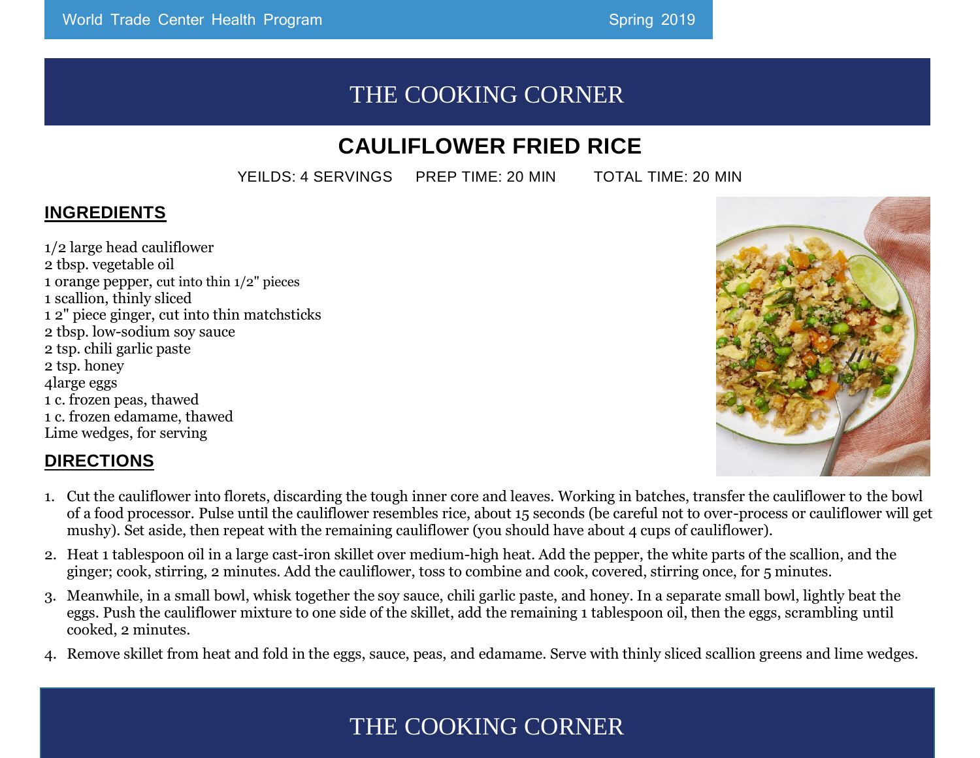### THE COOKING CORNER

### **CAULIFLOWER FRIED RICE**

YEILDS: 4 SERVINGS PREP TIME: 20 MIN TOTAL TIME: 20 MIN

### **INGREDIENTS**

1/2 large head cauliflower 2 tbsp. vegetable oil 1 orange pepper, cut into thin 1/2" pieces 1 scallion, thinly sliced 1 2" piece ginger, cut into thin matchsticks 2 tbsp. low-sodium soy sauce 2 tsp. chili garlic paste 2 tsp. honey 4large eggs 1 c. frozen peas, thawed 1 c. frozen edamame, thawed Lime wedges, for serving

#### **DIRECTIONS**

- 1. Cut the cauliflower into florets, discarding the tough inner core and leaves. Working in batches, transfer the cauliflower to the bowl of a food processor. Pulse until the cauliflower resembles rice, about 15 seconds (be careful not to over-process or cauliflower will get mushy). Set aside, then repeat with the remaining cauliflower (you should have about 4 cups of cauliflower).
- 2. Heat 1 tablespoon oil in a large cast-iron skillet over medium-high heat. Add the pepper, the white parts of the scallion, and the ginger; cook, stirring, 2 minutes. Add the cauliflower, toss to combine and cook, covered, stirring once, for 5 minutes.
- 3. Meanwhile, in a small bowl, whisk together the soy sauce, chili garlic paste, and honey. In a separate small bowl, lightly beat the eggs. Push the cauliflower mixture to one side of the skillet, add the remaining 1 tablespoon oil, then the eggs, scrambling until cooked, 2 minutes.
- 4. Remove skillet from heat and fold in the eggs, sauce, peas, and edamame. Serve with thinly sliced scallion greens and lime wedges.

### THE COOKING CORNER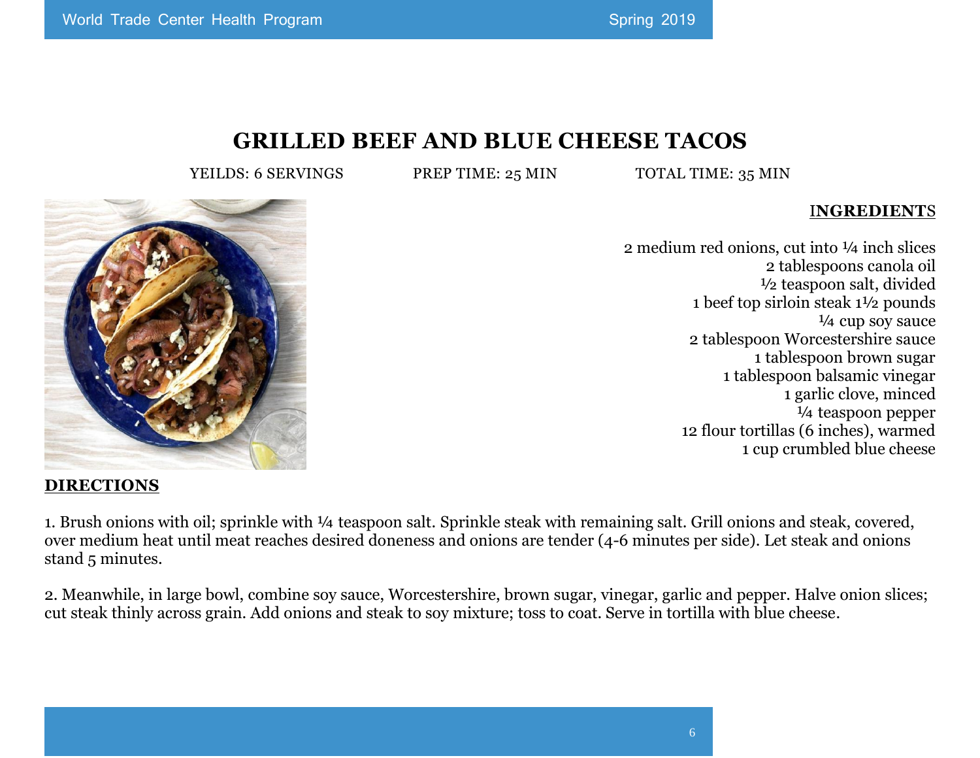### **GRILLED BEEF AND BLUE CHEESE TACOS**

YEILDS: 6 SERVINGS PREP TIME: 25 MIN TOTAL TIME: 35 MIN

#### I**NGREDIENT**S

2 medium red onions, cut into ¼ inch slices 2 tablespoons canola oil ½ teaspoon salt, divided 1 beef top sirloin steak 1½ pounds ¼ cup soy sauce 2 tablespoon Worcestershire sauce 1 tablespoon brown sugar 1 tablespoon balsamic vinegar 1 garlic clove, minced ¼ teaspoon pepper 12 flour tortillas (6 inches), warmed 1 cup crumbled blue cheese



#### **DIRECTIONS**

1. Brush onions with oil; sprinkle with ¼ teaspoon salt. Sprinkle steak with remaining salt. Grill onions and steak, covered, over medium heat until meat reaches desired doneness and onions are tender (4-6 minutes per side). Let steak and onions stand 5 minutes.

2. Meanwhile, in large bowl, combine soy sauce, Worcestershire, brown sugar, vinegar, garlic and pepper. Halve onion slices; cut steak thinly across grain. Add onions and steak to soy mixture; toss to coat. Serve in tortilla with blue cheese.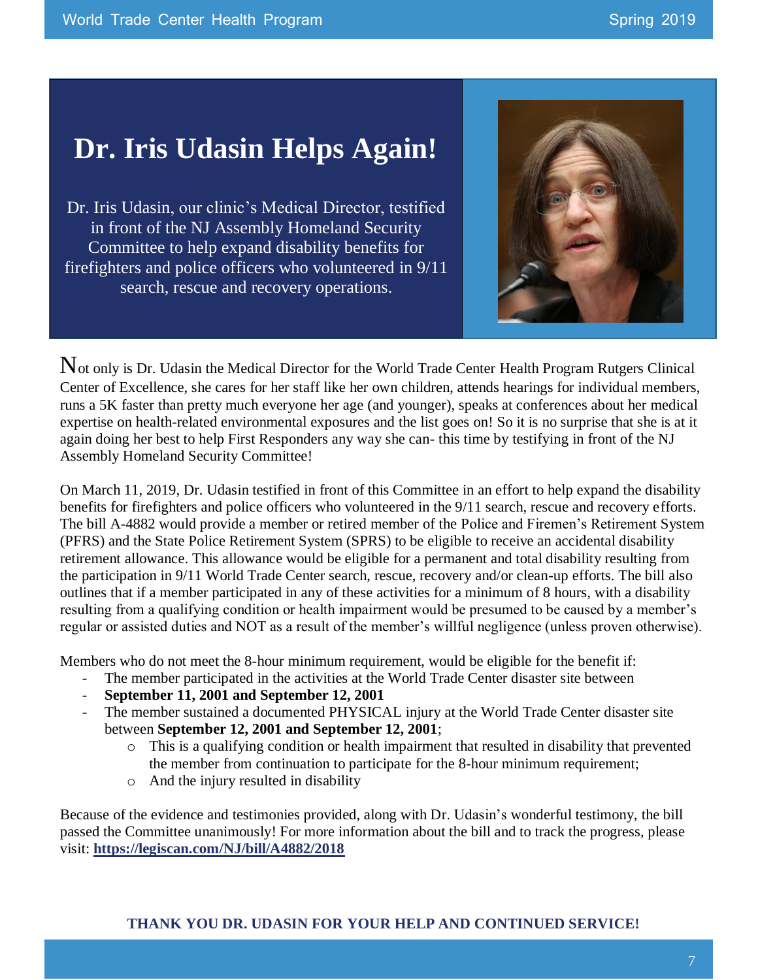### **Dr. Iris Udasin Helps Again!**

Dr. Iris Udasin, our clinic's Medical Director, testified in front of the NJ Assembly Homeland Security Committee to help expand disability benefits for firefighters and police officers who volunteered in 9/11 search, rescue and recovery operations.



Not only is Dr. Udasin the Medical Director for the World Trade Center Health Program Rutgers Clinical Center of Excellence, she cares for her staff like her own children, attends hearings for individual members, runs a 5K faster than pretty much everyone her age (and younger), speaks at conferences about her medical expertise on health-related environmental exposures and the list goes on! So it is no surprise that she is at it again doing her best to help First Responders any way she can- this time by testifying in front of the NJ Assembly Homeland Security Committee!

On March 11, 2019, Dr. Udasin testified in front of this Committee in an effort to help expand the disability benefits for firefighters and police officers who volunteered in the 9/11 search, rescue and recovery efforts. The bill A-4882 would provide a member or retired member of the Police and Firemen's Retirement System (PFRS) and the State Police Retirement System (SPRS) to be eligible to receive an accidental disability retirement allowance. This allowance would be eligible for a permanent and total disability resulting from the participation in 9/11 World Trade Center search, rescue, recovery and/or clean-up efforts. The bill also outlines that if a member participated in any of these activities for a minimum of 8 hours, with a disability resulting from a qualifying condition or health impairment would be presumed to be caused by a member's regular or assisted duties and NOT as a result of the member's willful negligence (unless proven otherwise).

Members who do not meet the 8-hour minimum requirement, would be eligible for the benefit if:

- The member participated in the activities at the World Trade Center disaster site between
- **September 11, 2001 and September 12, 2001**
- The member sustained a documented PHYSICAL injury at the World Trade Center disaster site between **September 12, 2001 and September 12, 2001**;
	- o This is a qualifying condition or health impairment that resulted in disability that prevented the member from continuation to participate for the 8-hour minimum requirement;
	- o And the injury resulted in disability

Because of the evidence and testimonies provided, along with Dr. Udasin's wonderful testimony, the bill passed the Committee unanimously! For more information about the bill and to track the progress, please visit: **<https://legiscan.com/NJ/bill/A4882/2018>**

#### **THANK YOU DR. UDASIN FOR YOUR HELP AND CONTINUED SERVICE!**